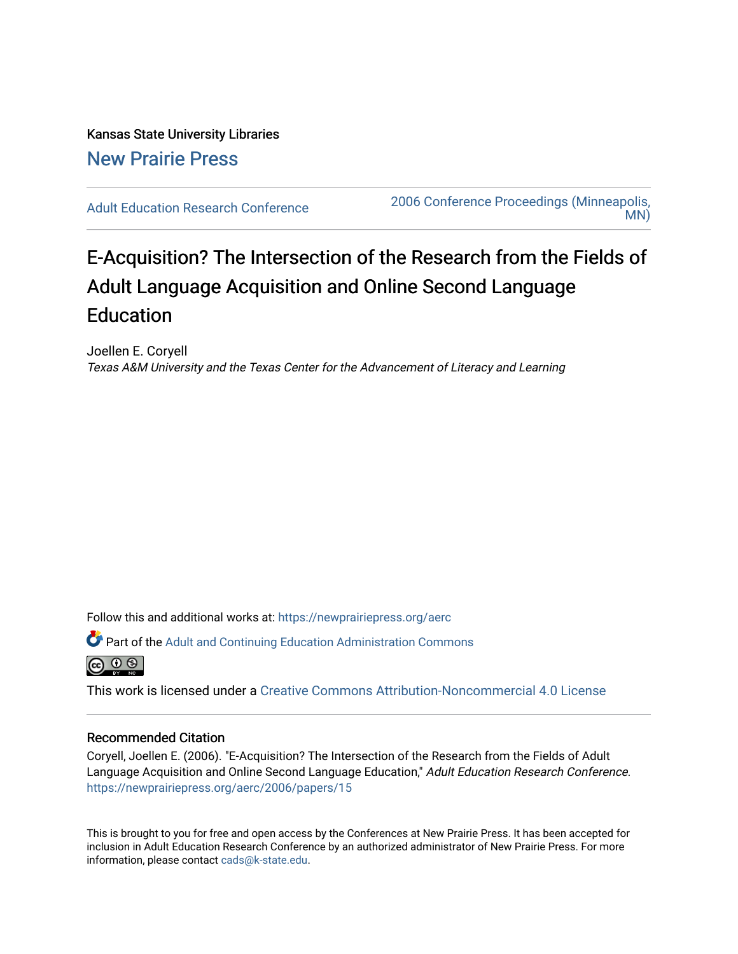# Kansas State University Libraries [New Prairie Press](https://newprairiepress.org/)

[Adult Education Research Conference](https://newprairiepress.org/aerc) [2006 Conference Proceedings \(Minneapolis,](https://newprairiepress.org/aerc/2006)  [MN\)](https://newprairiepress.org/aerc/2006) 

# E-Acquisition? The Intersection of the Research from the Fields of Adult Language Acquisition and Online Second Language Education

Joellen E. Coryell Texas A&M University and the Texas Center for the Advancement of Literacy and Learning

Follow this and additional works at: [https://newprairiepress.org/aerc](https://newprairiepress.org/aerc?utm_source=newprairiepress.org%2Faerc%2F2006%2Fpapers%2F15&utm_medium=PDF&utm_campaign=PDFCoverPages)

Part of the [Adult and Continuing Education Administration Commons](http://network.bepress.com/hgg/discipline/789?utm_source=newprairiepress.org%2Faerc%2F2006%2Fpapers%2F15&utm_medium=PDF&utm_campaign=PDFCoverPages)



This work is licensed under a [Creative Commons Attribution-Noncommercial 4.0 License](https://creativecommons.org/licenses/by-nc/4.0/)

## Recommended Citation

Coryell, Joellen E. (2006). "E-Acquisition? The Intersection of the Research from the Fields of Adult Language Acquisition and Online Second Language Education," Adult Education Research Conference. <https://newprairiepress.org/aerc/2006/papers/15>

This is brought to you for free and open access by the Conferences at New Prairie Press. It has been accepted for inclusion in Adult Education Research Conference by an authorized administrator of New Prairie Press. For more information, please contact [cads@k-state.edu](mailto:cads@k-state.edu).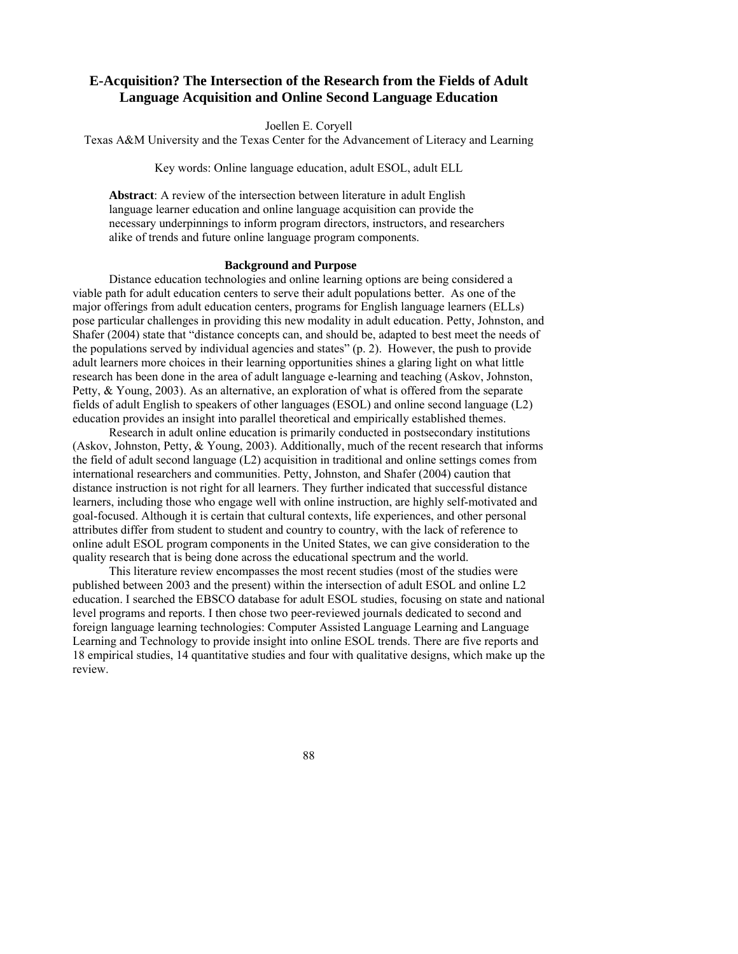# **E-Acquisition? The Intersection of the Research from the Fields of Adult Language Acquisition and Online Second Language Education**

Joellen E. Coryell

Texas A&M University and the Texas Center for the Advancement of Literacy and Learning

Key words: Online language education, adult ESOL, adult ELL

**Abstract**: A review of the intersection between literature in adult English language learner education and online language acquisition can provide the necessary underpinnings to inform program directors, instructors, and researchers alike of trends and future online language program components.

#### **Background and Purpose**

Distance education technologies and online learning options are being considered a viable path for adult education centers to serve their adult populations better. As one of the major offerings from adult education centers, programs for English language learners (ELLs) pose particular challenges in providing this new modality in adult education. Petty, Johnston, and Shafer (2004) state that "distance concepts can, and should be, adapted to best meet the needs of the populations served by individual agencies and states" (p. 2). However, the push to provide adult learners more choices in their learning opportunities shines a glaring light on what little research has been done in the area of adult language e-learning and teaching (Askov, Johnston, Petty, & Young, 2003). As an alternative, an exploration of what is offered from the separate fields of adult English to speakers of other languages (ESOL) and online second language (L2) education provides an insight into parallel theoretical and empirically established themes.

Research in adult online education is primarily conducted in postsecondary institutions (Askov, Johnston, Petty, & Young, 2003). Additionally, much of the recent research that informs the field of adult second language (L2) acquisition in traditional and online settings comes from international researchers and communities. Petty, Johnston, and Shafer (2004) caution that distance instruction is not right for all learners. They further indicated that successful distance learners, including those who engage well with online instruction, are highly self-motivated and goal-focused. Although it is certain that cultural contexts, life experiences, and other personal attributes differ from student to student and country to country, with the lack of reference to online adult ESOL program components in the United States, we can give consideration to the quality research that is being done across the educational spectrum and the world.

This literature review encompasses the most recent studies (most of the studies were published between 2003 and the present) within the intersection of adult ESOL and online L2 education. I searched the EBSCO database for adult ESOL studies, focusing on state and national level programs and reports. I then chose two peer-reviewed journals dedicated to second and foreign language learning technologies: Computer Assisted Language Learning and Language Learning and Technology to provide insight into online ESOL trends. There are five reports and 18 empirical studies, 14 quantitative studies and four with qualitative designs, which make up the review.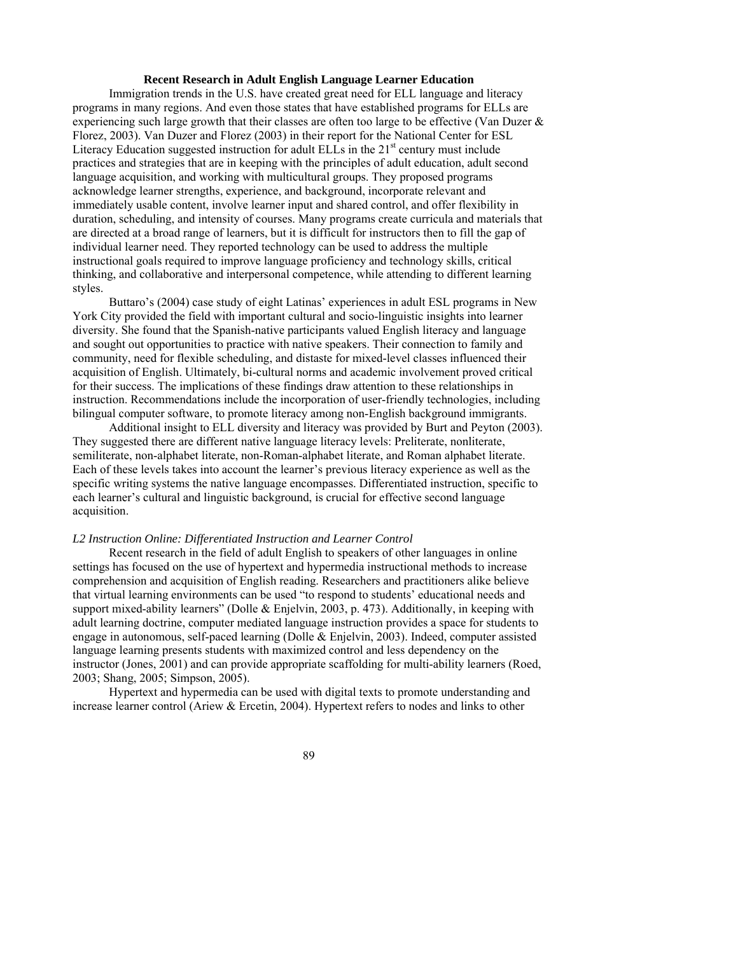#### **Recent Research in Adult English Language Learner Education**

Immigration trends in the U.S. have created great need for ELL language and literacy programs in many regions. And even those states that have established programs for ELLs are experiencing such large growth that their classes are often too large to be effective (Van Duzer  $\&$ Florez, 2003). Van Duzer and Florez (2003) in their report for the National Center for ESL Literacy Education suggested instruction for adult ELLs in the  $21<sup>st</sup>$  century must include practices and strategies that are in keeping with the principles of adult education, adult second language acquisition, and working with multicultural groups. They proposed programs acknowledge learner strengths, experience, and background, incorporate relevant and immediately usable content, involve learner input and shared control, and offer flexibility in duration, scheduling, and intensity of courses. Many programs create curricula and materials that are directed at a broad range of learners, but it is difficult for instructors then to fill the gap of individual learner need. They reported technology can be used to address the multiple instructional goals required to improve language proficiency and technology skills, critical thinking, and collaborative and interpersonal competence, while attending to different learning styles.

Buttaro's (2004) case study of eight Latinas' experiences in adult ESL programs in New York City provided the field with important cultural and socio-linguistic insights into learner diversity. She found that the Spanish-native participants valued English literacy and language and sought out opportunities to practice with native speakers. Their connection to family and community, need for flexible scheduling, and distaste for mixed-level classes influenced their acquisition of English. Ultimately, bi-cultural norms and academic involvement proved critical for their success. The implications of these findings draw attention to these relationships in instruction. Recommendations include the incorporation of user-friendly technologies, including bilingual computer software, to promote literacy among non-English background immigrants.

Additional insight to ELL diversity and literacy was provided by Burt and Peyton (2003). They suggested there are different native language literacy levels: Preliterate, nonliterate, semiliterate, non-alphabet literate, non-Roman-alphabet literate, and Roman alphabet literate. Each of these levels takes into account the learner's previous literacy experience as well as the specific writing systems the native language encompasses. Differentiated instruction, specific to each learner's cultural and linguistic background, is crucial for effective second language acquisition.

#### *L2 Instruction Online: Differentiated Instruction and Learner Control*

Recent research in the field of adult English to speakers of other languages in online settings has focused on the use of hypertext and hypermedia instructional methods to increase comprehension and acquisition of English reading. Researchers and practitioners alike believe that virtual learning environments can be used "to respond to students' educational needs and support mixed-ability learners" (Dolle & Enjelvin, 2003, p. 473). Additionally, in keeping with adult learning doctrine, computer mediated language instruction provides a space for students to engage in autonomous, self-paced learning (Dolle & Enjelvin, 2003). Indeed, computer assisted language learning presents students with maximized control and less dependency on the instructor (Jones, 2001) and can provide appropriate scaffolding for multi-ability learners (Roed, 2003; Shang, 2005; Simpson, 2005).

Hypertext and hypermedia can be used with digital texts to promote understanding and increase learner control (Ariew & Ercetin, 2004). Hypertext refers to nodes and links to other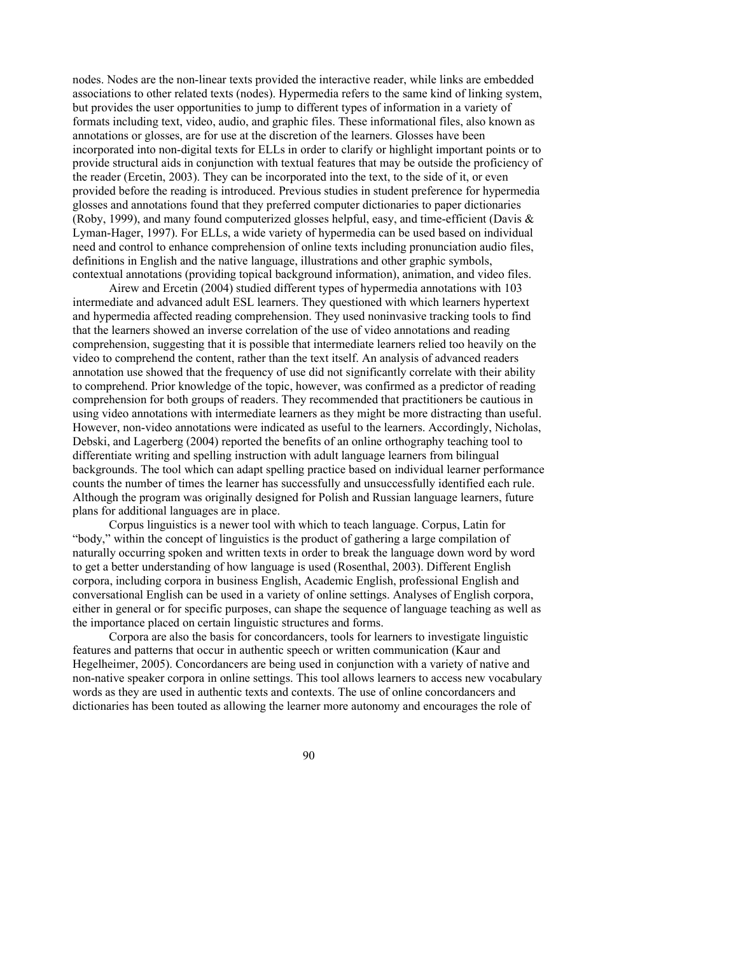nodes. Nodes are the non-linear texts provided the interactive reader, while links are embedded associations to other related texts (nodes). Hypermedia refers to the same kind of linking system, but provides the user opportunities to jump to different types of information in a variety of formats including text, video, audio, and graphic files. These informational files, also known as annotations or glosses, are for use at the discretion of the learners. Glosses have been incorporated into non-digital texts for ELLs in order to clarify or highlight important points or to provide structural aids in conjunction with textual features that may be outside the proficiency of the reader (Ercetin, 2003). They can be incorporated into the text, to the side of it, or even provided before the reading is introduced. Previous studies in student preference for hypermedia glosses and annotations found that they preferred computer dictionaries to paper dictionaries (Roby, 1999), and many found computerized glosses helpful, easy, and time-efficient (Davis & Lyman-Hager, 1997). For ELLs, a wide variety of hypermedia can be used based on individual need and control to enhance comprehension of online texts including pronunciation audio files, definitions in English and the native language, illustrations and other graphic symbols, contextual annotations (providing topical background information), animation, and video files.

Airew and Ercetin (2004) studied different types of hypermedia annotations with 103 intermediate and advanced adult ESL learners. They questioned with which learners hypertext and hypermedia affected reading comprehension. They used noninvasive tracking tools to find that the learners showed an inverse correlation of the use of video annotations and reading comprehension, suggesting that it is possible that intermediate learners relied too heavily on the video to comprehend the content, rather than the text itself. An analysis of advanced readers annotation use showed that the frequency of use did not significantly correlate with their ability to comprehend. Prior knowledge of the topic, however, was confirmed as a predictor of reading comprehension for both groups of readers. They recommended that practitioners be cautious in using video annotations with intermediate learners as they might be more distracting than useful. However, non-video annotations were indicated as useful to the learners. Accordingly, Nicholas, Debski, and Lagerberg (2004) reported the benefits of an online orthography teaching tool to differentiate writing and spelling instruction with adult language learners from bilingual backgrounds. The tool which can adapt spelling practice based on individual learner performance counts the number of times the learner has successfully and unsuccessfully identified each rule. Although the program was originally designed for Polish and Russian language learners, future plans for additional languages are in place.

Corpus linguistics is a newer tool with which to teach language. Corpus, Latin for "body," within the concept of linguistics is the product of gathering a large compilation of naturally occurring spoken and written texts in order to break the language down word by word to get a better understanding of how language is used (Rosenthal, 2003). Different English corpora, including corpora in business English, Academic English, professional English and conversational English can be used in a variety of online settings. Analyses of English corpora, either in general or for specific purposes, can shape the sequence of language teaching as well as the importance placed on certain linguistic structures and forms.

Corpora are also the basis for concordancers, tools for learners to investigate linguistic features and patterns that occur in authentic speech or written communication (Kaur and Hegelheimer, 2005). Concordancers are being used in conjunction with a variety of native and non-native speaker corpora in online settings. This tool allows learners to access new vocabulary words as they are used in authentic texts and contexts. The use of online concordancers and dictionaries has been touted as allowing the learner more autonomy and encourages the role of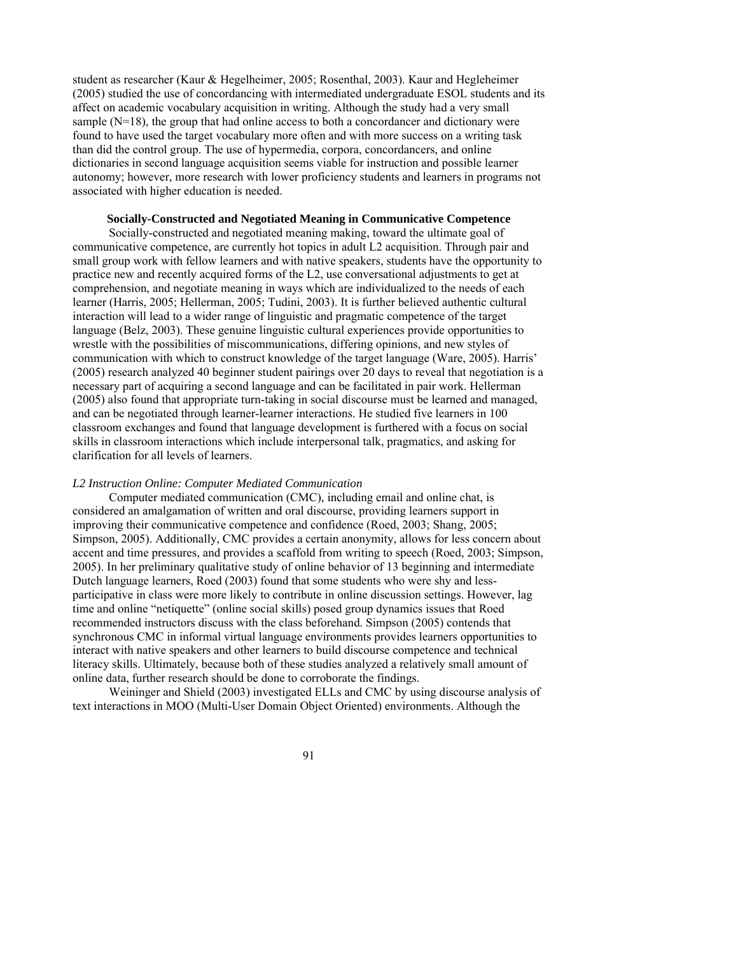student as researcher (Kaur & Hegelheimer, 2005; Rosenthal, 2003). Kaur and Hegleheimer (2005) studied the use of concordancing with intermediated undergraduate ESOL students and its affect on academic vocabulary acquisition in writing. Although the study had a very small sample  $(N=18)$ , the group that had online access to both a concordancer and dictionary were found to have used the target vocabulary more often and with more success on a writing task than did the control group. The use of hypermedia, corpora, concordancers, and online dictionaries in second language acquisition seems viable for instruction and possible learner autonomy; however, more research with lower proficiency students and learners in programs not associated with higher education is needed.

#### **Socially-Constructed and Negotiated Meaning in Communicative Competence**

Socially-constructed and negotiated meaning making, toward the ultimate goal of communicative competence, are currently hot topics in adult L2 acquisition. Through pair and small group work with fellow learners and with native speakers, students have the opportunity to practice new and recently acquired forms of the L2, use conversational adjustments to get at comprehension, and negotiate meaning in ways which are individualized to the needs of each learner (Harris, 2005; Hellerman, 2005; Tudini, 2003). It is further believed authentic cultural interaction will lead to a wider range of linguistic and pragmatic competence of the target language (Belz, 2003). These genuine linguistic cultural experiences provide opportunities to wrestle with the possibilities of miscommunications, differing opinions, and new styles of communication with which to construct knowledge of the target language (Ware, 2005). Harris' (2005) research analyzed 40 beginner student pairings over 20 days to reveal that negotiation is a necessary part of acquiring a second language and can be facilitated in pair work. Hellerman (2005) also found that appropriate turn-taking in social discourse must be learned and managed, and can be negotiated through learner-learner interactions. He studied five learners in 100 classroom exchanges and found that language development is furthered with a focus on social skills in classroom interactions which include interpersonal talk, pragmatics, and asking for clarification for all levels of learners.

#### *L2 Instruction Online: Computer Mediated Communication*

Computer mediated communication (CMC), including email and online chat, is considered an amalgamation of written and oral discourse, providing learners support in improving their communicative competence and confidence (Roed, 2003; Shang, 2005; Simpson, 2005). Additionally, CMC provides a certain anonymity, allows for less concern about accent and time pressures, and provides a scaffold from writing to speech (Roed, 2003; Simpson, 2005). In her preliminary qualitative study of online behavior of 13 beginning and intermediate Dutch language learners, Roed (2003) found that some students who were shy and lessparticipative in class were more likely to contribute in online discussion settings. However, lag time and online "netiquette" (online social skills) posed group dynamics issues that Roed recommended instructors discuss with the class beforehand. Simpson (2005) contends that synchronous CMC in informal virtual language environments provides learners opportunities to interact with native speakers and other learners to build discourse competence and technical literacy skills. Ultimately, because both of these studies analyzed a relatively small amount of online data, further research should be done to corroborate the findings.

Weininger and Shield (2003) investigated ELLs and CMC by using discourse analysis of text interactions in MOO (Multi-User Domain Object Oriented) environments. Although the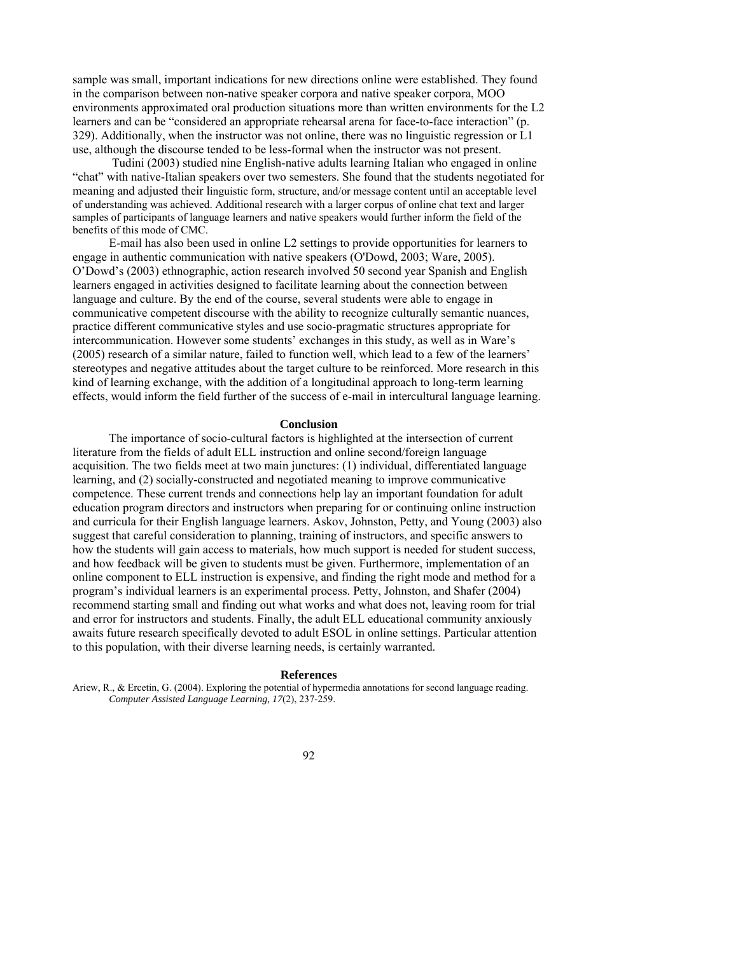sample was small, important indications for new directions online were established. They found in the comparison between non-native speaker corpora and native speaker corpora, MOO environments approximated oral production situations more than written environments for the L2 learners and can be "considered an appropriate rehearsal arena for face-to-face interaction" (p. 329). Additionally, when the instructor was not online, there was no linguistic regression or L1 use, although the discourse tended to be less-formal when the instructor was not present.

 Tudini (2003) studied nine English-native adults learning Italian who engaged in online "chat" with native-Italian speakers over two semesters. She found that the students negotiated for meaning and adjusted their linguistic form, structure, and/or message content until an acceptable level of understanding was achieved. Additional research with a larger corpus of online chat text and larger samples of participants of language learners and native speakers would further inform the field of the benefits of this mode of CMC.

E-mail has also been used in online L2 settings to provide opportunities for learners to engage in authentic communication with native speakers (O'Dowd, 2003; Ware, 2005). O'Dowd's (2003) ethnographic, action research involved 50 second year Spanish and English learners engaged in activities designed to facilitate learning about the connection between language and culture. By the end of the course, several students were able to engage in communicative competent discourse with the ability to recognize culturally semantic nuances, practice different communicative styles and use socio-pragmatic structures appropriate for intercommunication. However some students' exchanges in this study, as well as in Ware's (2005) research of a similar nature, failed to function well, which lead to a few of the learners' stereotypes and negative attitudes about the target culture to be reinforced. More research in this kind of learning exchange, with the addition of a longitudinal approach to long-term learning effects, would inform the field further of the success of e-mail in intercultural language learning.

#### **Conclusion**

The importance of socio-cultural factors is highlighted at the intersection of current literature from the fields of adult ELL instruction and online second/foreign language acquisition. The two fields meet at two main junctures: (1) individual, differentiated language learning, and (2) socially-constructed and negotiated meaning to improve communicative competence. These current trends and connections help lay an important foundation for adult education program directors and instructors when preparing for or continuing online instruction and curricula for their English language learners. Askov, Johnston, Petty, and Young (2003) also suggest that careful consideration to planning, training of instructors, and specific answers to how the students will gain access to materials, how much support is needed for student success, and how feedback will be given to students must be given. Furthermore, implementation of an online component to ELL instruction is expensive, and finding the right mode and method for a program's individual learners is an experimental process. Petty, Johnston, and Shafer (2004) recommend starting small and finding out what works and what does not, leaving room for trial and error for instructors and students. Finally, the adult ELL educational community anxiously awaits future research specifically devoted to adult ESOL in online settings. Particular attention to this population, with their diverse learning needs, is certainly warranted.

#### **References**

Ariew, R., & Ercetin, G. (2004). Exploring the potential of hypermedia annotations for second language reading. *Computer Assisted Language Learning, 17*(2), 237-259.